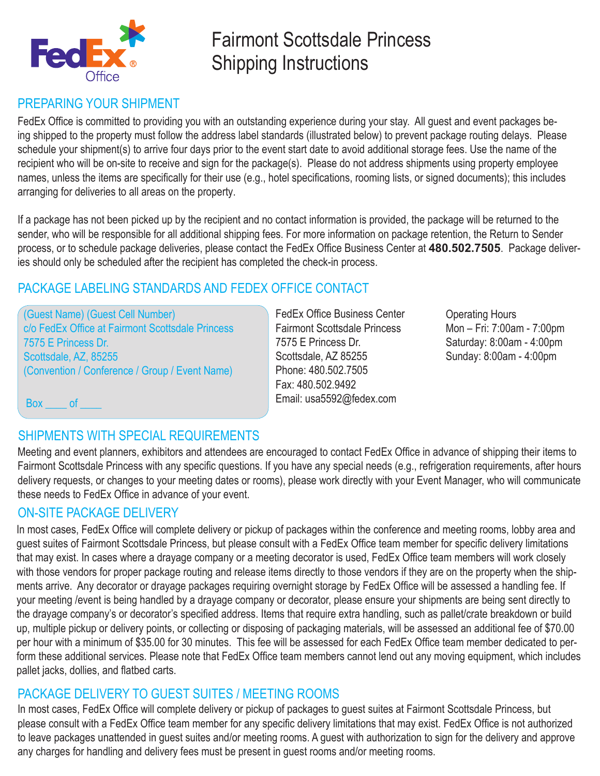

# Fairmont Scottsdale Princess Shipping Instructions

### PREPARING YOUR SHIPMENT

FedEx Office is committed to providing you with an outstanding experience during your stay. All guest and event packages being shipped to the property must follow the address label standards (illustrated below) to prevent package routing delays. Please schedule your shipment(s) to arrive four days prior to the event start date to avoid additional storage fees. Use the name of the recipient who will be on-site to receive and sign for the package(s). Please do not address shipments using property employee names, unless the items are specifically for their use (e.g., hotel specifications, rooming lists, or signed documents); this includes arranging for deliveries to all areas on the property.

If a package has not been picked up by the recipient and no contact information is provided, the package will be returned to the sender, who will be responsible for all additional shipping fees. For more information on package retention, the Return to Sender process, or to schedule package deliveries, please contact the FedEx Office Business Center at **480.502.7505**. Package deliveries should only be scheduled after the recipient has completed the check-in process.

### PACKAGE LABELING STANDARDS AND FEDEX OFFICE CONTACT

(Guest Name) (Guest Cell Number) c/o FedEx Office at Fairmont Scottsdale Princess 7575 E Princess Dr. Scottsdale, AZ, 85255 (Convention / Conference / Group / Event Name)

FedEx Office Business Center Fairmont Scottsdale Princess 7575 E Princess Dr. Scottsdale, AZ 85255 Phone: 480.502.7505 Fax: 480.502.9492 Email: usa5592@fedex.com

Operating Hours Mon – Fri: 7:00am - 7:00pm Saturday: 8:00am - 4:00pm Sunday: 8:00am - 4:00pm

Box of

## SHIPMENTS WITH SPECIAL REQUIREMENTS

Meeting and event planners, exhibitors and attendees are encouraged to contact FedEx Office in advance of shipping their items to Fairmont Scottsdale Princess with any specific questions. If you have any special needs (e.g., refrigeration requirements, after hours delivery requests, or changes to your meeting dates or rooms), please work directly with your Event Manager, who will communicate these needs to FedEx Office in advance of your event.

### ON-SITE PACKAGE DELIVERY

In most cases, FedEx Office will complete delivery or pickup of packages within the conference and meeting rooms, lobby area and guest suites of Fairmont Scottsdale Princess, but please consult with a FedEx Office team member for specific delivery limitations that may exist. In cases where a drayage company or a meeting decorator is used, FedEx Office team members will work closely with those vendors for proper package routing and release items directly to those vendors if they are on the property when the shipments arrive. Any decorator or drayage packages requiring overnight storage by FedEx Office will be assessed a handling fee. If your meeting /event is being handled by a drayage company or decorator, please ensure your shipments are being sent directly to the drayage company's or decorator's specified address. Items that require extra handling, such as pallet/crate breakdown or build up, multiple pickup or delivery points, or collecting or disposing of packaging materials, will be assessed an additional fee of \$70.00 per hour with a minimum of \$35.00 for 30 minutes. This fee will be assessed for each FedEx Office team member dedicated to perform these additional services. Please note that FedEx Office team members cannot lend out any moving equipment, which includes pallet jacks, dollies, and flatbed carts.

### PACKAGE DELIVERY TO GUEST SUITES / MEETING ROOMS

In most cases, FedEx Office will complete delivery or pickup of packages to guest suites at Fairmont Scottsdale Princess, but please consult with a FedEx Office team member for any specific delivery limitations that may exist. FedEx Office is not authorized to leave packages unattended in guest suites and/or meeting rooms. A guest with authorization to sign for the delivery and approve any charges for handling and delivery fees must be present in guest rooms and/or meeting rooms.